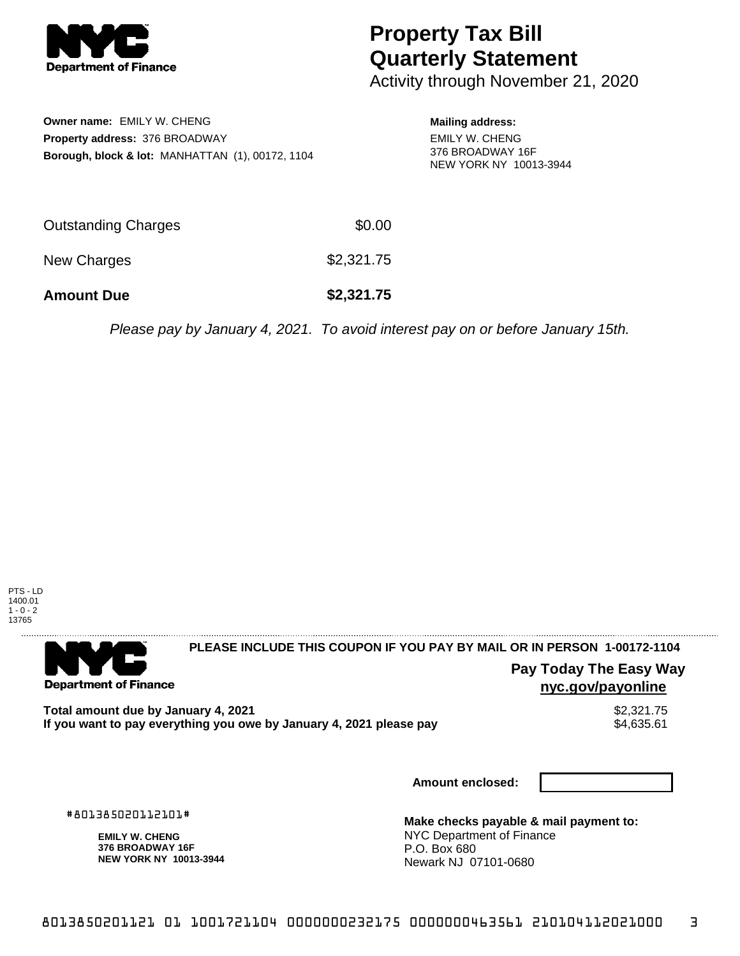

## **Property Tax Bill Quarterly Statement**

Activity through November 21, 2020

**Owner name:** EMILY W. CHENG **Property address:** 376 BROADWAY **Borough, block & lot:** MANHATTAN (1), 00172, 1104 **Mailing address:**

EMILY W. CHENG 376 BROADWAY 16F NEW YORK NY 10013-3944

| <b>Amount Due</b>   | \$2,321.75 |
|---------------------|------------|
| New Charges         | \$2,321.75 |
| Outstanding Charges | \$0.00     |

Please pay by January 4, 2021. To avoid interest pay on or before January 15th.



. . . . . . . . . . . . . . . .

**Department of Finance** 

**PLEASE INCLUDE THIS COUPON IF YOU PAY BY MAIL OR IN PERSON 1-00172-1104** 

**Pay Today The Easy Way nyc.gov/payonline**

**Total amount due by January 4, 2021**<br>If you want to pay everything you owe by January 4, 2021 please pay **strategy of the Superior Automate** \$4,635.61 If you want to pay everything you owe by January 4, 2021 please pay

**Amount enclosed:**

#801385020112101#

**EMILY W. CHENG 376 BROADWAY 16F NEW YORK NY 10013-3944**

**Make checks payable & mail payment to:** NYC Department of Finance P.O. Box 680 Newark NJ 07101-0680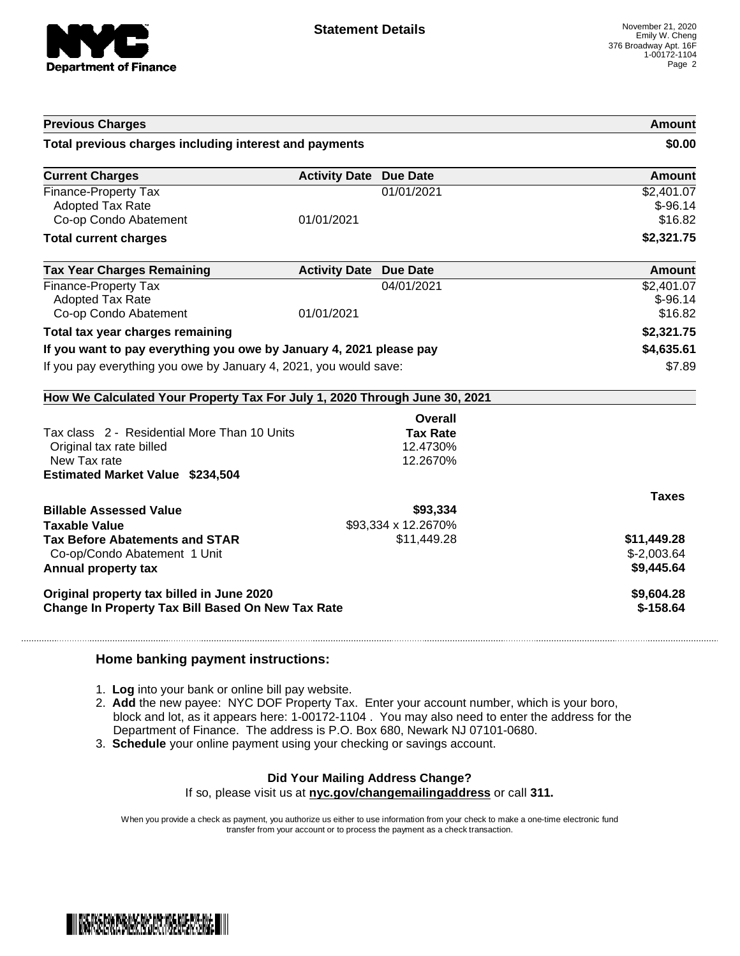

|                                                                            |                               |                     | Amount        |
|----------------------------------------------------------------------------|-------------------------------|---------------------|---------------|
| Total previous charges including interest and payments                     |                               |                     | \$0.00        |
| <b>Current Charges</b>                                                     | <b>Activity Date Due Date</b> |                     | <b>Amount</b> |
| <b>Finance-Property Tax</b>                                                |                               | 01/01/2021          | \$2,401.07    |
| <b>Adopted Tax Rate</b>                                                    |                               |                     | $$-96.14$     |
| Co-op Condo Abatement                                                      | 01/01/2021                    |                     | \$16.82       |
| <b>Total current charges</b>                                               |                               |                     | \$2,321.75    |
| <b>Tax Year Charges Remaining</b>                                          | <b>Activity Date Due Date</b> |                     | Amount        |
| Finance-Property Tax                                                       |                               | 04/01/2021          | \$2,401.07    |
| <b>Adopted Tax Rate</b>                                                    |                               |                     | $$-96.14$     |
| Co-op Condo Abatement                                                      | 01/01/2021                    |                     | \$16.82       |
| Total tax year charges remaining                                           |                               |                     | \$2,321.75    |
| If you want to pay everything you owe by January 4, 2021 please pay        |                               | \$4,635.61          |               |
| If you pay everything you owe by January 4, 2021, you would save:          |                               | \$7.89              |               |
| How We Calculated Your Property Tax For July 1, 2020 Through June 30, 2021 |                               |                     |               |
|                                                                            |                               | Overall             |               |
|                                                                            |                               |                     |               |
| Tax class 2 - Residential More Than 10 Units                               |                               | <b>Tax Rate</b>     |               |
| Original tax rate billed                                                   |                               | 12.4730%            |               |
| New Tax rate                                                               |                               | 12.2670%            |               |
|                                                                            |                               |                     |               |
| <b>Estimated Market Value \$234,504</b>                                    |                               |                     | <b>Taxes</b>  |
|                                                                            |                               | \$93,334            |               |
| <b>Billable Assessed Value</b><br><b>Taxable Value</b>                     |                               | \$93,334 x 12.2670% |               |
| <b>Tax Before Abatements and STAR</b>                                      |                               | \$11,449.28         | \$11,449.28   |
| Co-op/Condo Abatement 1 Unit                                               |                               |                     | $$-2,003.64$  |
| Annual property tax                                                        |                               |                     | \$9,445.64    |
| Original property tax billed in June 2020                                  |                               |                     | \$9,604.28    |

## **Home banking payment instructions:**

- 1. **Log** into your bank or online bill pay website.
- 2. **Add** the new payee: NYC DOF Property Tax. Enter your account number, which is your boro, block and lot, as it appears here: 1-00172-1104 . You may also need to enter the address for the Department of Finance. The address is P.O. Box 680, Newark NJ 07101-0680.
- 3. **Schedule** your online payment using your checking or savings account.

## **Did Your Mailing Address Change?**

If so, please visit us at **nyc.gov/changemailingaddress** or call **311.**

When you provide a check as payment, you authorize us either to use information from your check to make a one-time electronic fund transfer from your account or to process the payment as a check transaction.